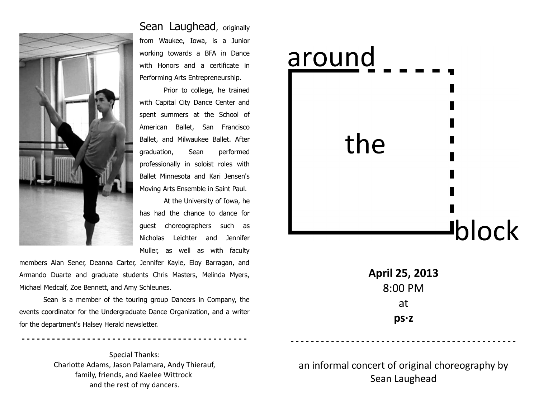

Sean Laughead, originally from Waukee, Iowa, is a Junior working towards a BFA in Dance with Honors and a certificate in Performing Arts Entrepreneurship.

Prior to college, he trained with Capital City Dance Center and spent summers at the School of American Ballet, San Francisco Ballet, and Milwaukee Ballet. After graduation, Sean performed professionally in soloist roles with Ballet Minnesota and Kari Jensen's Moving Arts Ensemble in Saint Paul.

At the University of Iowa, he has had the chance to dance for guest choreographers such as Nicholas Leichter and Jennifer Muller, as well as with faculty

members Alan Sener, Deanna Carter, Jennifer Kayle, Eloy Barragan, and Armando Duarte and graduate students Chris Masters, Melinda Myers, Michael Medcalf, Zoe Bennett, and Amy Schleunes.

Sean is a member of the touring group Dancers in Company, the events coordinator for the Undergraduate Dance Organization, and a writer for the department's Halsey Herald newsletter.

**- - - - - - - - - - - - - - - - - - - - - - - - - - - - - - - - - - - - - - - - - - - - -**

Special Thanks: Charlotte Adams, Jason Palamara, Andy Thierauf, family, friends, and Kaelee Wittrock and the rest of my dancers.

## around the **Jblock**

**April 25, 2013** 8:00 PM at **ps·z**

an informal concert of original choreography by Sean Laughead

**- - - - - - - - - - - - - - - - - - - - - - - - - - - - - - - - - - - - - - - - - - - - -**